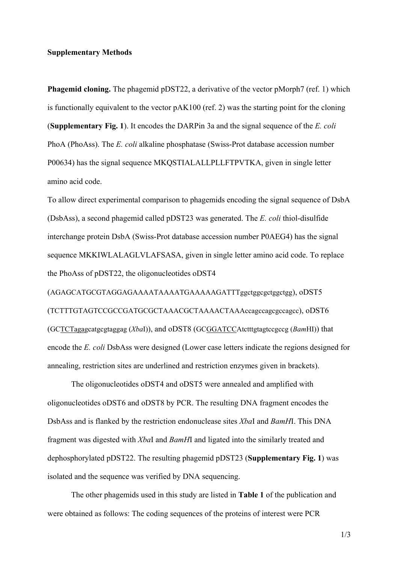## **Supplementary Methods**

**Phagemid cloning.** The phagemid pDST22, a derivative of the vector pMorph7 (ref. 1) which is functionally equivalent to the vector pAK100 (ref. 2) was the starting point for the cloning (**Supplementary Fig. 1**). It encodes the DARPin 3a and the signal sequence of the *E. coli* PhoA (PhoAss). The *E. coli* alkaline phosphatase (Swiss-Prot database accession number P00634) has the signal sequence MKQSTIALALLPLLFTPVTKA, given in single letter amino acid code.

To allow direct experimental comparison to phagemids encoding the signal sequence of DsbA (DsbAss), a second phagemid called pDST23 was generated. The *E. coli* thiol-disulfide interchange protein DsbA (Swiss-Prot database accession number P0AEG4) has the signal sequence MKKIWLALAGLVLAFSASA, given in single letter amino acid code. To replace the PhoAss of pDST22, the oligonucleotides oDST4

(AGAGCATGCGTAGGAGAAAATAAAATGAAAAAGATTTggctggcgctggctgg), oDST5 (TCTTTGTAGTCCGCCGATGCGCTAAACGCTAAAACTAAAccagccagcgccagcc), oDST6 (GCTCTagagcatgcgtaggag (*Xba*I)), and oDST8 (GCGGATCCAtctttgtagtccgccg (*Bam*HI)) that encode the *E. coli* DsbAss were designed (Lower case letters indicate the regions designed for annealing, restriction sites are underlined and restriction enzymes given in brackets).

The oligonucleotides oDST4 and oDST5 were annealed and amplified with oligonucleotides oDST6 and oDST8 by PCR. The resulting DNA fragment encodes the DsbAss and is flanked by the restriction endonuclease sites *Xba*I and *BamH*I. This DNA fragment was digested with *Xba*I and *BamH*I and ligated into the similarly treated and dephosphorylated pDST22. The resulting phagemid pDST23 (**Supplementary Fig. 1**) was isolated and the sequence was verified by DNA sequencing.

The other phagemids used in this study are listed in **Table 1** of the publication and were obtained as follows: The coding sequences of the proteins of interest were PCR

1/3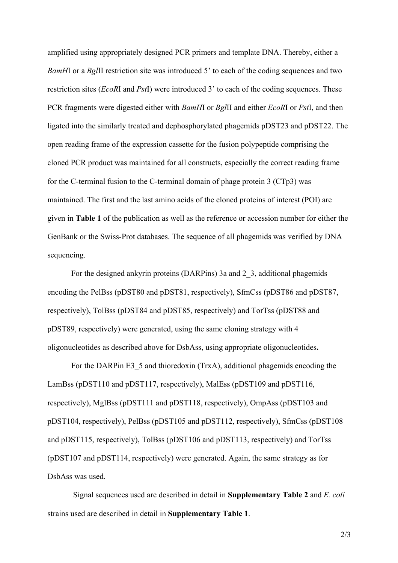amplified using appropriately designed PCR primers and template DNA. Thereby, either a *BamHI* or a *BgIII* restriction site was introduced 5' to each of the coding sequences and two restriction sites (*EcoR*I and *Pst*I) were introduced 3' to each of the coding sequences. These PCR fragments were digested either with *BamH*I or *Bgl*II and either *EcoR*I or *Pst*I, and then ligated into the similarly treated and dephosphorylated phagemids pDST23 and pDST22. The open reading frame of the expression cassette for the fusion polypeptide comprising the cloned PCR product was maintained for all constructs, especially the correct reading frame for the C-terminal fusion to the C-terminal domain of phage protein 3 (CTp3) was maintained. The first and the last amino acids of the cloned proteins of interest (POI) are given in **Table 1** of the publication as well as the reference or accession number for either the GenBank or the Swiss-Prot databases. The sequence of all phagemids was verified by DNA sequencing.

For the designed ankyrin proteins (DARPins) 3a and 2\_3, additional phagemids encoding the PelBss (pDST80 and pDST81, respectively), SfmCss (pDST86 and pDST87, respectively), TolBss (pDST84 and pDST85, respectively) and TorTss (pDST88 and pDST89, respectively) were generated, using the same cloning strategy with 4 oligonucleotides as described above for DsbAss, using appropriate oligonucleotides**.**

For the DARP in E3\_5 and thioredoxin (TrxA), additional phagemids encoding the LamBss (pDST110 and pDST117, respectively), MalEss (pDST109 and pDST116, respectively), MglBss (pDST111 and pDST118, respectively), OmpAss (pDST103 and pDST104, respectively), PelBss (pDST105 and pDST112, respectively), SfmCss (pDST108 and pDST115, respectively), TolBss (pDST106 and pDST113, respectively) and TorTss (pDST107 and pDST114, respectively) were generated. Again, the same strategy as for DsbAss was used.

 Signal sequences used are described in detail in **Supplementary Table 2** and *E. coli* strains used are described in detail in **Supplementary Table 1**.

2/3